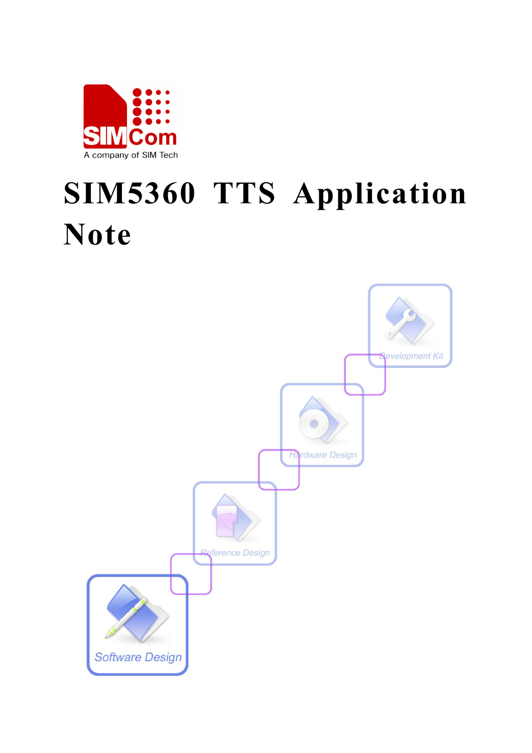

# **SIM5360 TTS Application Note**

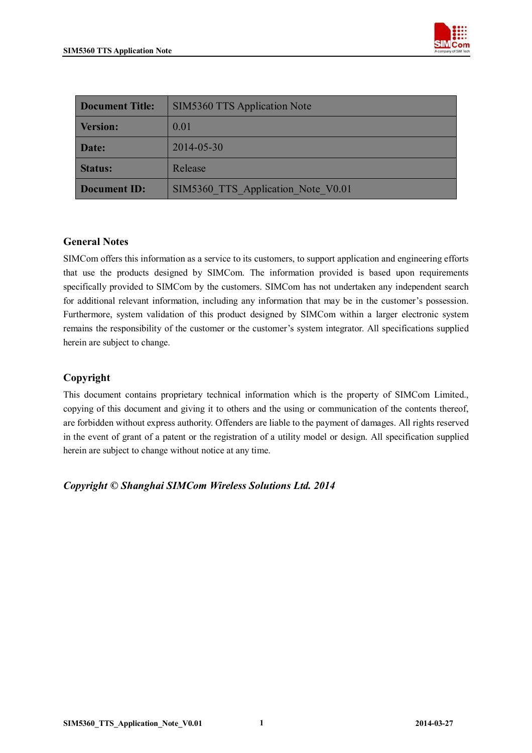

| <b>Document Title:</b> | <b>SIM5360 TTS Application Note</b> |  |
|------------------------|-------------------------------------|--|
| <b>Version:</b>        | 0.01                                |  |
| Date:                  | 2014-05-30                          |  |
| <b>Status:</b>         | Release                             |  |
| <b>Document ID:</b>    | SIM5360 TTS Application Note V0.01  |  |

#### **General Notes**

SIMCom offers this information as a service to its customers, to support application and engineering efforts that use the products designed by SIMCom. The information provided is based upon requirements specifically provided to SIMCom by the customers. SIMCom has not undertaken any independent search for additional relevant information, including any information that may be in the customer's possession. Furthermore, system validation of this product designed by SIMCom within a larger electronic system remains the responsibility of the customer or the customer's system integrator. All specifications supplied herein are subject to change.

#### **Copyright**

This document contains proprietary technical information which is the property of SIMCom Limited., copying of this document and giving it to others and the using or communication of the contents thereof, are forbidden without express authority. Offenders are liable to the payment of damages. All rights reserved in the event of grant of a patent or the registration of a utility model or design. All specification supplied herein are subject to change without notice at any time.

*Copyright © Shanghai SIMCom Wireless Solutions Ltd. 2014*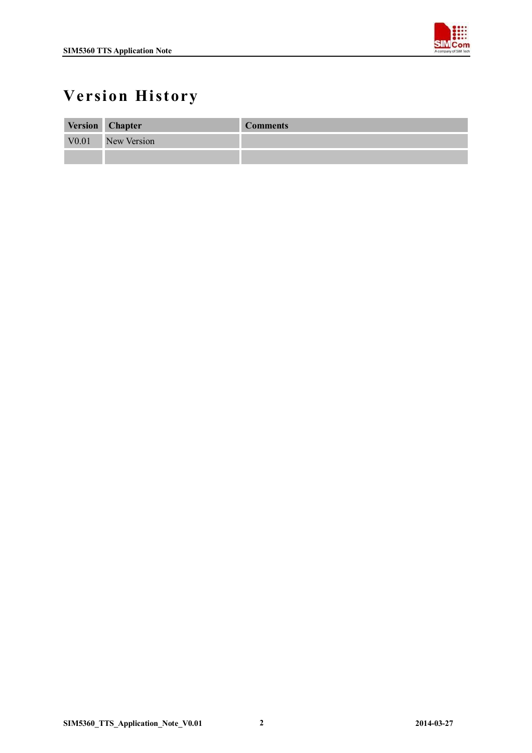

## **Version History**

|                   | Version Chapter | <b>Comments</b> |
|-------------------|-----------------|-----------------|
| V <sub>0.01</sub> | New Version     |                 |
|                   |                 |                 |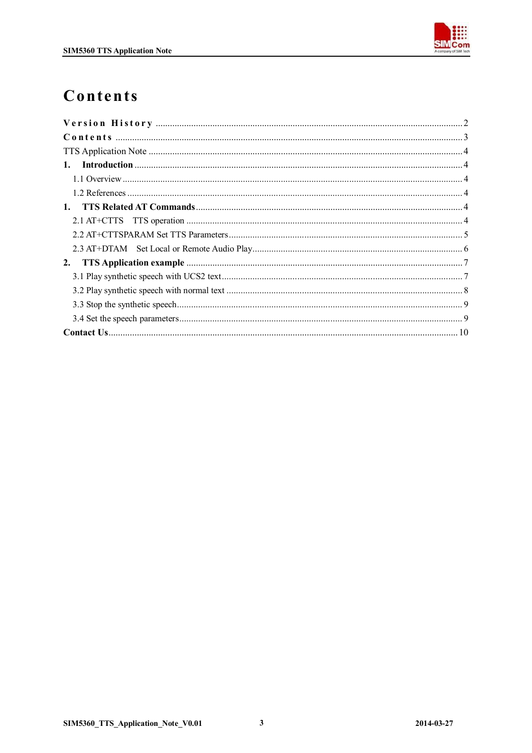

## Contents

| 2. |  |
|----|--|
|    |  |
|    |  |
|    |  |
|    |  |
|    |  |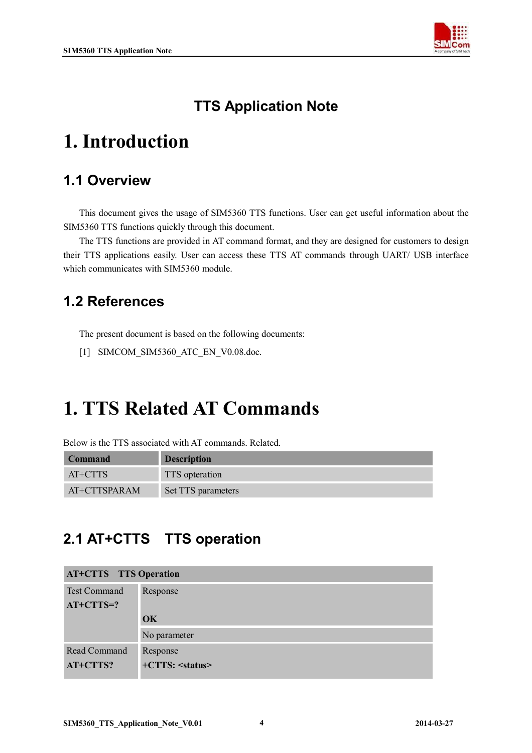

#### **TTS Application Note**

# **1. Introduction**

#### **1.1 Overview**

This document gives the usage of SIM5360 TTS functions. User can get useful information about the SIM5360 TTS functions quickly through this document.

The TTS functions are provided in AT command format, and they are designed for customers to design their TTS applications easily. User can access these TTS AT commands through UART/ USB interface which communicates with SIM5360 module.

#### **1.2 References**

The present document is based on the following documents:

[1] SIMCOM\_SIM5360\_ATC\_EN\_V0.08.doc.

## **1. TTS Related AT Commands**

Below is the TTS associated with AT commands. Related.

| <b>Command</b> | <b>Description</b> |
|----------------|--------------------|
| AT+CTTS        | TTS opteration     |
| AT+CTTSPARAM   | Set TTS parameters |

#### **2.1 AT+CTTS TTS operation**

| <b>AT+CTTS</b> TTS Operation |
|------------------------------|
| Response                     |
|                              |
| OK                           |
| No parameter                 |
| Response                     |
| $+CTTS: \leq status>$        |
|                              |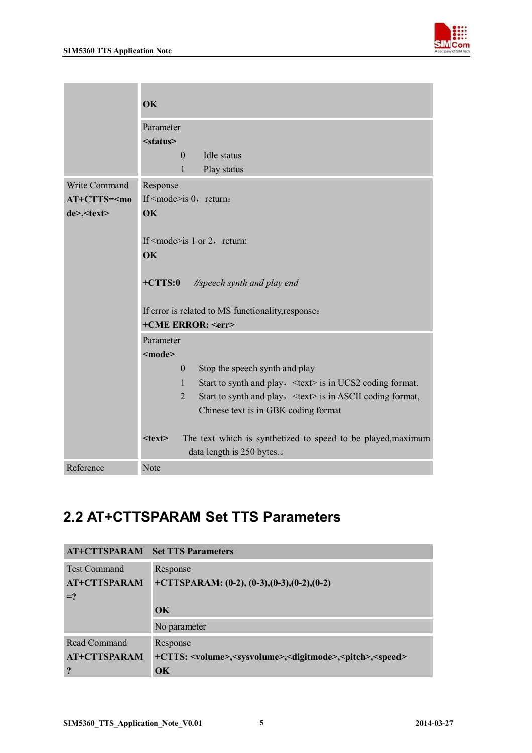

|                    | OK                                                                                                       |  |  |
|--------------------|----------------------------------------------------------------------------------------------------------|--|--|
|                    | Parameter<br>$<$ status $>$<br><b>Idle</b> status<br>$\Omega$                                            |  |  |
|                    | 1<br>Play status                                                                                         |  |  |
| Write Command      | Response                                                                                                 |  |  |
| $AT+CTTS=mo$       | If $\leq$ mode $\geq$ is 0, return:                                                                      |  |  |
| de>, <text></text> | OK                                                                                                       |  |  |
|                    | If $\leq$ mode $\geq$ is 1 or 2, return:<br><b>OK</b>                                                    |  |  |
|                    | $+CTTS:0$<br>//speech synth and play end                                                                 |  |  |
|                    | If error is related to MS functionality, response:                                                       |  |  |
|                    | +CME ERROR: <err></err>                                                                                  |  |  |
|                    | Parameter                                                                                                |  |  |
|                    | $mode$                                                                                                   |  |  |
|                    | Stop the speech synth and play<br>$\overline{0}$                                                         |  |  |
|                    | Start to synth and play, <text> is in UCS2 coding format.<br/><math>\mathbf{1}</math></text>             |  |  |
|                    | $\overline{2}$<br>Start to synth and play, <text> is in ASCII coding format,</text>                      |  |  |
|                    | Chinese text is in GBK coding format                                                                     |  |  |
|                    | The text which is synthetized to speed to be played, maximum<br>$<$ text $>$<br>data length is 250 bytes |  |  |
| Reference          | Note                                                                                                     |  |  |

### **2.2 AT+CTTSPARAM Set TTS Parameters**

| <b>AT+CTTSPARAM</b> Set TTS Parameters |                                                                                                          |
|----------------------------------------|----------------------------------------------------------------------------------------------------------|
| <b>Test Command</b>                    | Response                                                                                                 |
| <b>AT+CTTSPARAM</b>                    | +CTTSPARAM: $(0-2)$ , $(0-3)$ , $(0-3)$ , $(0-2)$ , $(0-2)$                                              |
| $=$ ?                                  |                                                                                                          |
|                                        | $\alpha$                                                                                                 |
|                                        | No parameter                                                                                             |
| Read Command                           | Response                                                                                                 |
| <b>AT+CTTSPARAM</b>                    | +CTTS: <volume>,<sysvolume>,<digitmode>,<pitch>,<speed></speed></pitch></digitmode></sysvolume></volume> |
| ?                                      | OK                                                                                                       |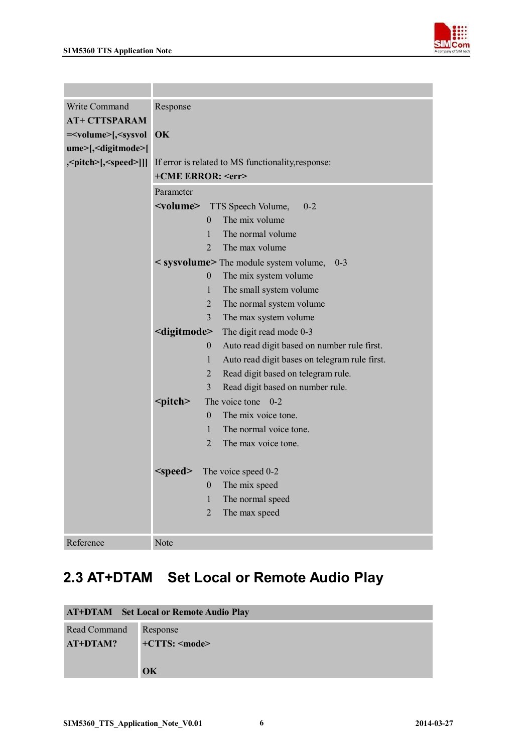

| Write Command                                                                | Response                                                |                                                               |  |
|------------------------------------------------------------------------------|---------------------------------------------------------|---------------------------------------------------------------|--|
| <b>AT+ CTTSPARAM</b>                                                         |                                                         |                                                               |  |
| = <volume>[,<sysvol< th=""><th colspan="3"><b>OK</b></th></sysvol<></volume> | <b>OK</b>                                               |                                                               |  |
| ume>[, <digitmode>[</digitmode>                                              |                                                         |                                                               |  |
| \,\frac{\left{\math\$\right],\eff{\speed}\]],                                | If error is related to MS functionality, response:      |                                                               |  |
|                                                                              | +CME ERROR: <err></err>                                 |                                                               |  |
|                                                                              | Parameter                                               |                                                               |  |
|                                                                              | <volume></volume>                                       | $0 - 2$<br>TTS Speech Volume,                                 |  |
|                                                                              |                                                         | The mix volume<br>$\theta$                                    |  |
|                                                                              |                                                         | $\mathbf{1}$<br>The normal volume                             |  |
|                                                                              |                                                         | $\overline{2}$<br>The max volume                              |  |
|                                                                              |                                                         | < sysvolume> The module system volume,<br>$0 - 3$             |  |
|                                                                              |                                                         | The mix system volume<br>$\boldsymbol{0}$                     |  |
|                                                                              |                                                         | 1<br>The small system volume                                  |  |
|                                                                              |                                                         | $\overline{2}$<br>The normal system volume                    |  |
|                                                                              |                                                         | $\overline{3}$<br>The max system volume                       |  |
|                                                                              | <digitmode><br/><math>\boldsymbol{0}</math></digitmode> | The digit read mode 0-3                                       |  |
|                                                                              |                                                         | Auto read digit based on number rule first.                   |  |
|                                                                              |                                                         | $\mathbf{1}$<br>Auto read digit bases on telegram rule first. |  |
|                                                                              |                                                         | $\overline{2}$<br>Read digit based on telegram rule.          |  |
|                                                                              |                                                         | $\overline{3}$<br>Read digit based on number rule.            |  |
|                                                                              | <pitch></pitch>                                         | The voice tone<br>$0 - 2$                                     |  |
|                                                                              |                                                         | $\theta$<br>The mix voice tone.                               |  |
|                                                                              |                                                         | The normal voice tone.<br>$\mathbf{1}$                        |  |
|                                                                              |                                                         | $\overline{2}$<br>The max voice tone.                         |  |
|                                                                              |                                                         |                                                               |  |
|                                                                              | $<$ speed $>$                                           | The voice speed 0-2<br>$\boldsymbol{0}$<br>The mix speed      |  |
|                                                                              |                                                         | $\mathbf{1}$<br>The normal speed                              |  |
|                                                                              |                                                         | $\overline{2}$<br>The max speed                               |  |
|                                                                              |                                                         |                                                               |  |
| Reference                                                                    | Note                                                    |                                                               |  |

## **2.3 AT+DTAM Set Local or Remote Audio Play**

|              | <b>AT+DTAM</b> Set Local or Remote Audio Play |
|--------------|-----------------------------------------------|
| Read Command | Response                                      |
| AT+DTAM?     | $+CTTS: \leq mode$                            |
|              |                                               |
|              | OK                                            |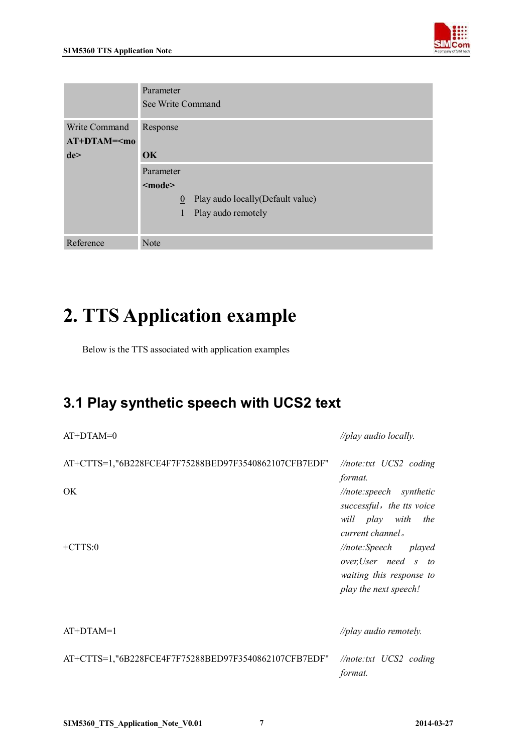

|                                      | Parameter<br>See Write Command                                                                      |  |  |
|--------------------------------------|-----------------------------------------------------------------------------------------------------|--|--|
| Write Command<br>$AT+DTAM=mo$<br>de> | Response<br>$\overline{\text{OK}}$                                                                  |  |  |
|                                      | Parameter<br>$mode$<br>Play audo locally (Default value)<br>$\mathbf{0}$<br>Play audo remotely<br>1 |  |  |
| Reference                            | Note                                                                                                |  |  |

# **2. TTS Application example**

Below is the TTS associated with application examples

### **3.1 Play synthetic speech with UCS2 text**

| $AT+DTAM=0$                                          | //play audio locally.                                                                                                                                                                              |
|------------------------------------------------------|----------------------------------------------------------------------------------------------------------------------------------------------------------------------------------------------------|
| AT+CTTS=1,"6B228FCE4F7F75288BED97F3540862107CFB7EDF" | $\sqrt{5}$ //note:txt UCS2 coding<br>format.                                                                                                                                                       |
| OK.<br>$+CTTS:0$                                     | //note:speech synthetic<br>successful, the tts voice<br>will play with the<br>current channel.<br>//note:Speech played<br>over,User need s to<br>waiting this response to<br>play the next speech! |
| $AT+DTAM=1$                                          | //play audio remotely.                                                                                                                                                                             |
| AT+CTTS=1,"6B228FCE4F7F75288BED97F3540862107CFB7EDF" | $\sqrt{m}$ <i>hote:txt</i> UCS2 coding<br>format.                                                                                                                                                  |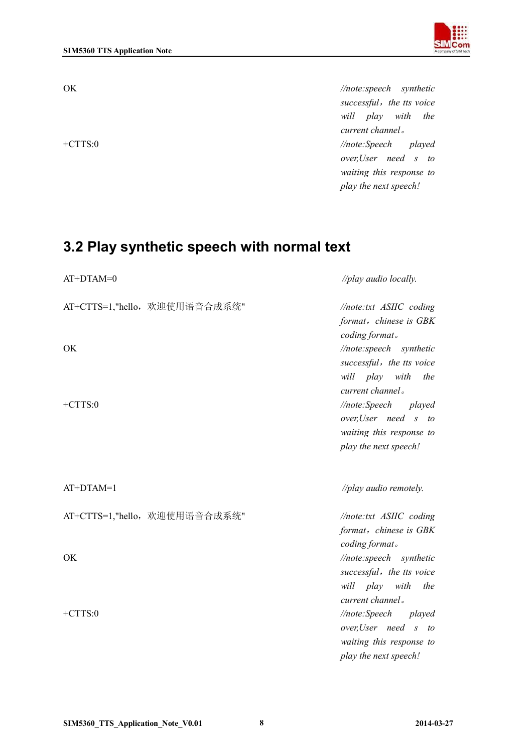

OK *//note:speech synthetic successful,the tts voice will play with the current channel。* +CTTS:0 *//note:Speech played over,User need s to waiting this response to play the next speech!*

#### **3.2 Play synthetic speech with normal text**

AT+DTAM=0 *//play audio locally.*

| AT+CTTS=1,"hello, 欢迎使用语音合成系统"<br><b>OK</b><br>$+CTTS:0$ | $\sqrt{5}$ //note:txt ASIIC coding<br>format, chinese is GBK<br>coding format.<br>//note:speech synthetic<br>successful, the tts voice<br>will play with the<br>current channel.<br>//note:Speech played |
|---------------------------------------------------------|----------------------------------------------------------------------------------------------------------------------------------------------------------------------------------------------------------|
|                                                         | over,User need s to<br>waiting this response to<br>play the next speech!                                                                                                                                 |
| $AT+DTAM=1$                                             | //play audio remotely.                                                                                                                                                                                   |
| AT+CTTS=1,"hello, 欢迎使用语音合成系统"                           | //note:txt ASIIC coding<br>format, chinese is GBK<br>coding format.                                                                                                                                      |
| OK                                                      | //note:speech synthetic<br>successful, the tts voice<br>will play with<br>the<br>current channel.                                                                                                        |
| $+CTTS:0$                                               | //note:Speech played<br>over,User need s to<br>waiting this response to<br>play the next speech!                                                                                                         |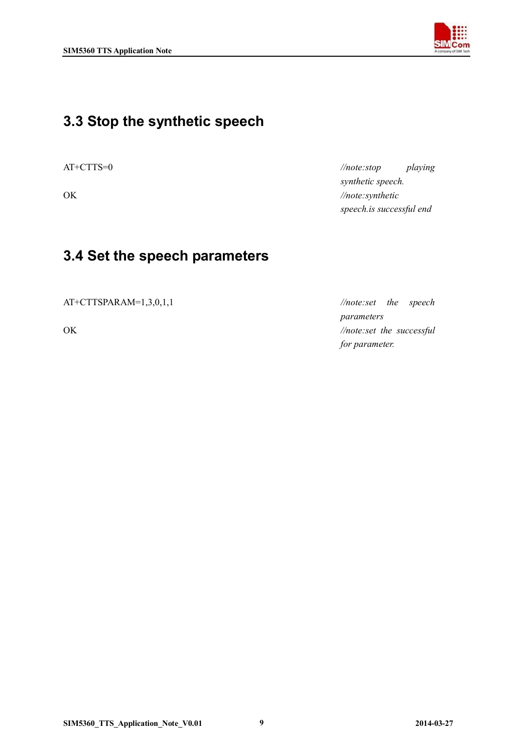

#### **3.3 Stop the synthetic speech**

AT+CTTS=0 *//note:stop playing synthetic speech.* OK *//note:synthetic speech.is successful end*

#### **3.4 Set the speech parameters**

AT+CTTSPARAM=1,3,0,1,1 *//note:set the speech* 

*parameters* OK *//note:set the successful for parameter.*